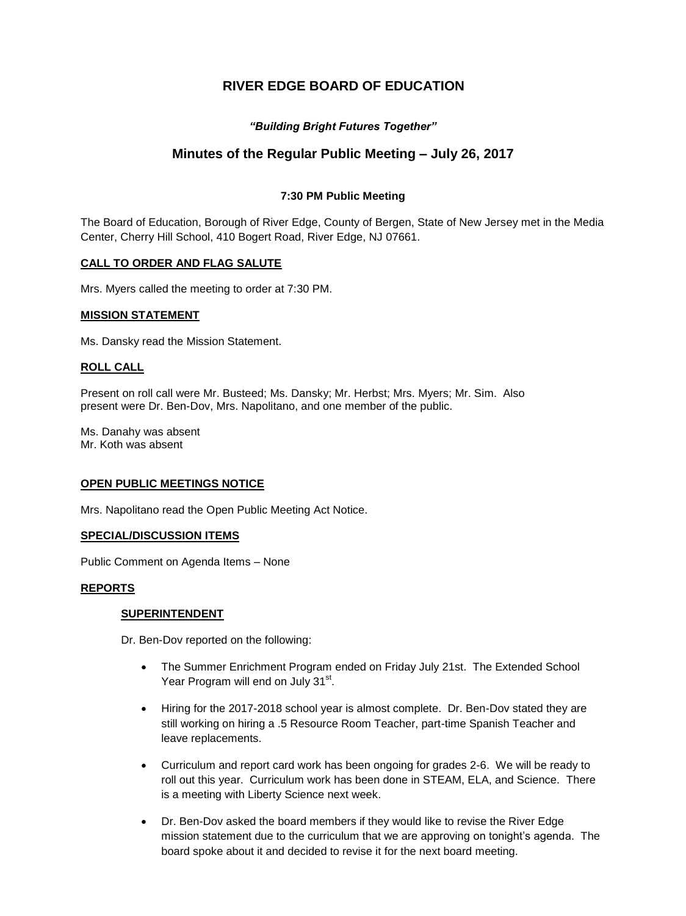# **RIVER EDGE BOARD OF EDUCATION**

# *"Building Bright Futures Together"*

# **Minutes of the Regular Public Meeting – July 26, 2017**

# **7:30 PM Public Meeting**

The Board of Education, Borough of River Edge, County of Bergen, State of New Jersey met in the Media Center, Cherry Hill School, 410 Bogert Road, River Edge, NJ 07661.

# **CALL TO ORDER AND FLAG SALUTE**

Mrs. Myers called the meeting to order at 7:30 PM.

## **MISSION STATEMENT**

Ms. Dansky read the Mission Statement.

## **ROLL CALL**

Present on roll call were Mr. Busteed; Ms. Dansky; Mr. Herbst; Mrs. Myers; Mr. Sim. Also present were Dr. Ben-Dov, Mrs. Napolitano, and one member of the public.

Ms. Danahy was absent Mr. Koth was absent

## **OPEN PUBLIC MEETINGS NOTICE**

Mrs. Napolitano read the Open Public Meeting Act Notice.

#### **SPECIAL/DISCUSSION ITEMS**

Public Comment on Agenda Items – None

## **REPORTS**

## **SUPERINTENDENT**

Dr. Ben-Dov reported on the following:

- The Summer Enrichment Program ended on Friday July 21st. The Extended School Year Program will end on July 31st.
- Hiring for the 2017-2018 school year is almost complete. Dr. Ben-Dov stated they are still working on hiring a .5 Resource Room Teacher, part-time Spanish Teacher and leave replacements.
- Curriculum and report card work has been ongoing for grades 2-6. We will be ready to roll out this year. Curriculum work has been done in STEAM, ELA, and Science. There is a meeting with Liberty Science next week.
- Dr. Ben-Dov asked the board members if they would like to revise the River Edge mission statement due to the curriculum that we are approving on tonight's agenda. The board spoke about it and decided to revise it for the next board meeting.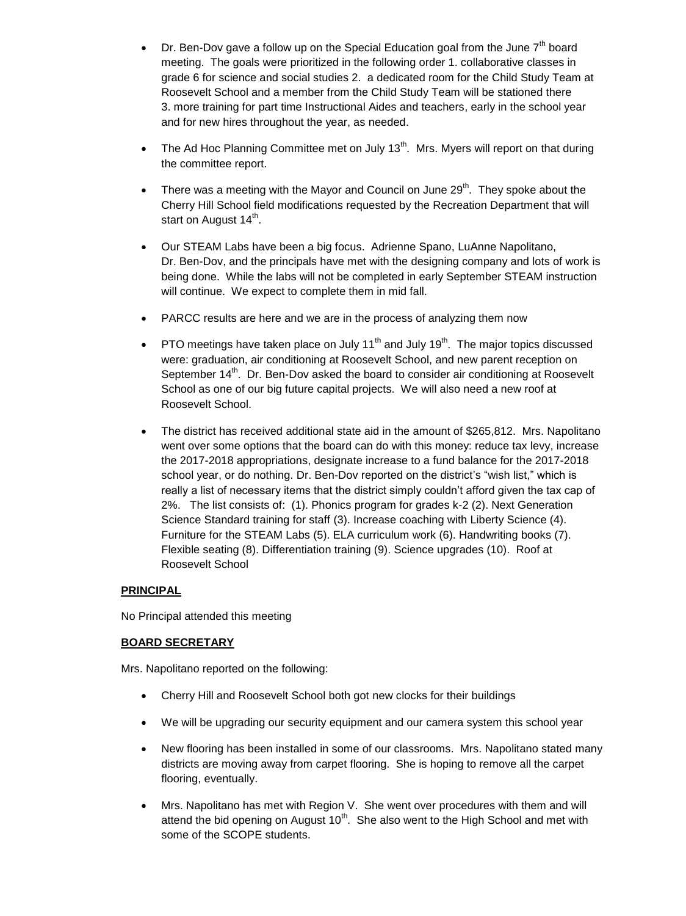- Dr. Ben-Dov gave a follow up on the Special Education goal from the June  $7<sup>th</sup>$  board meeting. The goals were prioritized in the following order 1. collaborative classes in grade 6 for science and social studies 2. a dedicated room for the Child Study Team at Roosevelt School and a member from the Child Study Team will be stationed there 3. more training for part time Instructional Aides and teachers, early in the school year and for new hires throughout the year, as needed.
- The Ad Hoc Planning Committee met on July 13<sup>th</sup>. Mrs. Myers will report on that during the committee report.
- There was a meeting with the Mayor and Council on June  $29<sup>th</sup>$ . They spoke about the Cherry Hill School field modifications requested by the Recreation Department that will start on August 14<sup>th</sup>.
- Our STEAM Labs have been a big focus. Adrienne Spano, LuAnne Napolitano, Dr. Ben-Dov, and the principals have met with the designing company and lots of work is being done. While the labs will not be completed in early September STEAM instruction will continue. We expect to complete them in mid fall.
- PARCC results are here and we are in the process of analyzing them now
- PTO meetings have taken place on July 11<sup>th</sup> and July 19<sup>th</sup>. The major topics discussed were: graduation, air conditioning at Roosevelt School, and new parent reception on September 14<sup>th</sup>. Dr. Ben-Dov asked the board to consider air conditioning at Roosevelt School as one of our big future capital projects. We will also need a new roof at Roosevelt School.
- The district has received additional state aid in the amount of \$265,812. Mrs. Napolitano went over some options that the board can do with this money: reduce tax levy, increase the 2017-2018 appropriations, designate increase to a fund balance for the 2017-2018 school year, or do nothing. Dr. Ben-Dov reported on the district's "wish list," which is really a list of necessary items that the district simply couldn't afford given the tax cap of 2%. The list consists of: (1). Phonics program for grades k-2 (2). Next Generation Science Standard training for staff (3). Increase coaching with Liberty Science (4). Furniture for the STEAM Labs (5). ELA curriculum work (6). Handwriting books (7). Flexible seating (8). Differentiation training (9). Science upgrades (10). Roof at Roosevelt School

# **PRINCIPAL**

No Principal attended this meeting

# **BOARD SECRETARY**

Mrs. Napolitano reported on the following:

- Cherry Hill and Roosevelt School both got new clocks for their buildings
- We will be upgrading our security equipment and our camera system this school year
- New flooring has been installed in some of our classrooms. Mrs. Napolitano stated many districts are moving away from carpet flooring. She is hoping to remove all the carpet flooring, eventually.
- Mrs. Napolitano has met with Region V. She went over procedures with them and will attend the bid opening on August  $10<sup>th</sup>$ . She also went to the High School and met with some of the SCOPE students.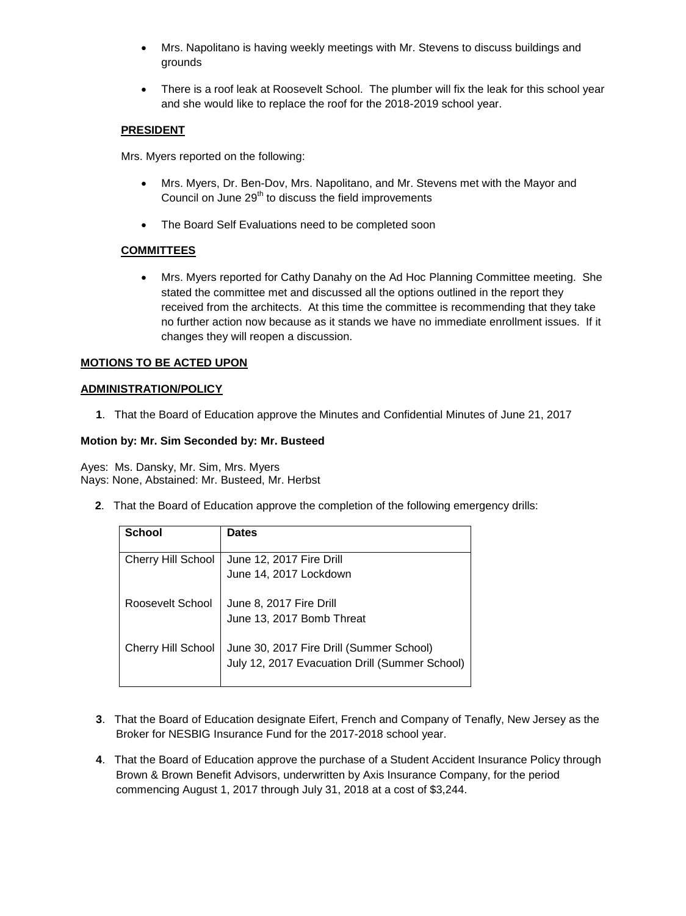- Mrs. Napolitano is having weekly meetings with Mr. Stevens to discuss buildings and grounds
- There is a roof leak at Roosevelt School. The plumber will fix the leak for this school year and she would like to replace the roof for the 2018-2019 school year.

# **PRESIDENT**

Mrs. Myers reported on the following:

- Mrs. Myers, Dr. Ben-Dov, Mrs. Napolitano, and Mr. Stevens met with the Mayor and Council on June 29<sup>th</sup> to discuss the field improvements
- The Board Self Evaluations need to be completed soon

# **COMMITTEES**

 Mrs. Myers reported for Cathy Danahy on the Ad Hoc Planning Committee meeting. She stated the committee met and discussed all the options outlined in the report they received from the architects. At this time the committee is recommending that they take no further action now because as it stands we have no immediate enrollment issues. If it changes they will reopen a discussion.

# **MOTIONS TO BE ACTED UPON**

# **ADMINISTRATION/POLICY**

**1**. That the Board of Education approve the Minutes and Confidential Minutes of June 21, 2017

## **Motion by: Mr. Sim Seconded by: Mr. Busteed**

Ayes: Ms. Dansky, Mr. Sim, Mrs. Myers Nays: None, Abstained: Mr. Busteed, Mr. Herbst

 **2**. That the Board of Education approve the completion of the following emergency drills:

| <b>School</b>             | <b>Dates</b>                                                                               |
|---------------------------|--------------------------------------------------------------------------------------------|
| <b>Cherry Hill School</b> | June 12, 2017 Fire Drill<br>June 14, 2017 Lockdown                                         |
| Roosevelt School          | June 8, 2017 Fire Drill<br>June 13, 2017 Bomb Threat                                       |
| <b>Cherry Hill School</b> | June 30, 2017 Fire Drill (Summer School)<br>July 12, 2017 Evacuation Drill (Summer School) |

- **3**. That the Board of Education designate Eifert, French and Company of Tenafly, New Jersey as the Broker for NESBIG Insurance Fund for the 2017-2018 school year.
- **4**. That the Board of Education approve the purchase of a Student Accident Insurance Policy through Brown & Brown Benefit Advisors, underwritten by Axis Insurance Company, for the period commencing August 1, 2017 through July 31, 2018 at a cost of \$3,244.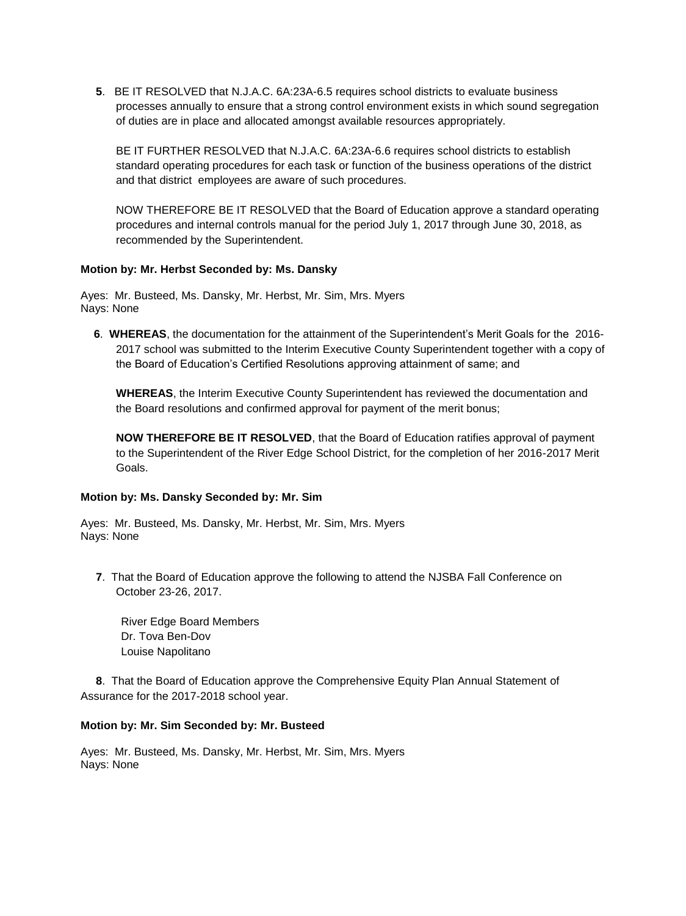**5**. BE IT RESOLVED that N.J.A.C. 6A:23A-6.5 requires school districts to evaluate business processes annually to ensure that a strong control environment exists in which sound segregation of duties are in place and allocated amongst available resources appropriately.

BE IT FURTHER RESOLVED that N.J.A.C. 6A:23A-6.6 requires school districts to establish standard operating procedures for each task or function of the business operations of the district and that district employees are aware of such procedures.

NOW THEREFORE BE IT RESOLVED that the Board of Education approve a standard operating procedures and internal controls manual for the period July 1, 2017 through June 30, 2018, as recommended by the Superintendent.

## **Motion by: Mr. Herbst Seconded by: Ms. Dansky**

Ayes: Mr. Busteed, Ms. Dansky, Mr. Herbst, Mr. Sim, Mrs. Myers Nays: None

**6**. **WHEREAS**, the documentation for the attainment of the Superintendent's Merit Goals for the 2016- 2017 school was submitted to the Interim Executive County Superintendent together with a copy of the Board of Education's Certified Resolutions approving attainment of same; and

**WHEREAS**, the Interim Executive County Superintendent has reviewed the documentation and the Board resolutions and confirmed approval for payment of the merit bonus;

**NOW THEREFORE BE IT RESOLVED**, that the Board of Education ratifies approval of payment to the Superintendent of the River Edge School District, for the completion of her 2016-2017 Merit Goals.

## **Motion by: Ms. Dansky Seconded by: Mr. Sim**

Ayes: Mr. Busteed, Ms. Dansky, Mr. Herbst, Mr. Sim, Mrs. Myers Nays: None

**7**. That the Board of Education approve the following to attend the NJSBA Fall Conference on October 23-26, 2017.

River Edge Board Members Dr. Tova Ben-Dov Louise Napolitano

**8**. That the Board of Education approve the Comprehensive Equity Plan Annual Statement of Assurance for the 2017-2018 school year.

#### **Motion by: Mr. Sim Seconded by: Mr. Busteed**

Ayes: Mr. Busteed, Ms. Dansky, Mr. Herbst, Mr. Sim, Mrs. Myers Nays: None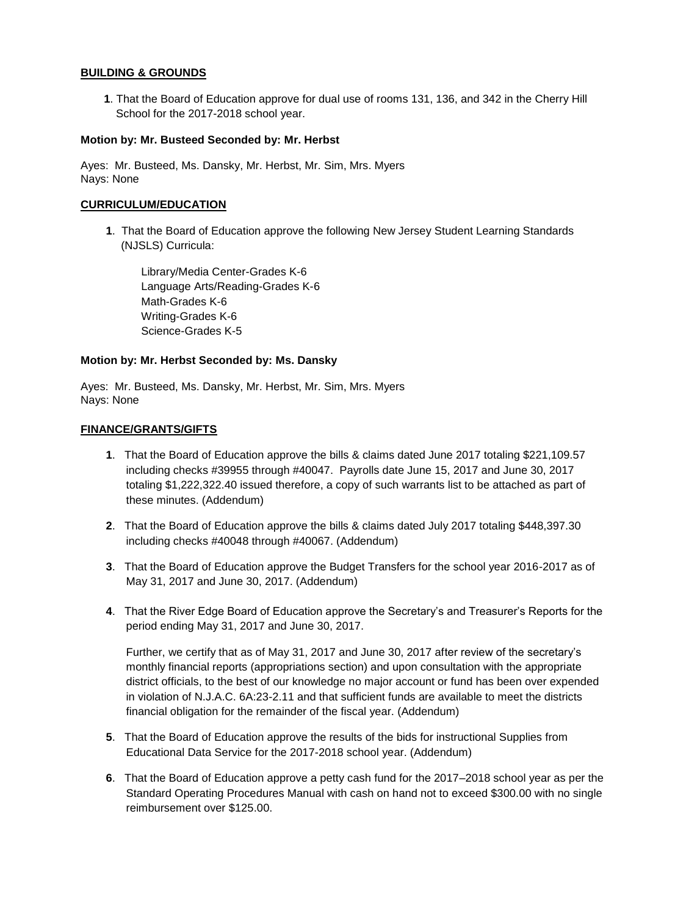## **BUILDING & GROUNDS**

**1**. That the Board of Education approve for dual use of rooms 131, 136, and 342 in the Cherry Hill School for the 2017-2018 school year.

## **Motion by: Mr. Busteed Seconded by: Mr. Herbst**

Ayes: Mr. Busteed, Ms. Dansky, Mr. Herbst, Mr. Sim, Mrs. Myers Nays: None

#### **CURRICULUM/EDUCATION**

**1**. That the Board of Education approve the following New Jersey Student Learning Standards (NJSLS) Curricula:

Library/Media Center-Grades K-6 Language Arts/Reading-Grades K-6 Math-Grades K-6 Writing-Grades K-6 Science-Grades K-5

#### **Motion by: Mr. Herbst Seconded by: Ms. Dansky**

Ayes: Mr. Busteed, Ms. Dansky, Mr. Herbst, Mr. Sim, Mrs. Myers Nays: None

#### **FINANCE/GRANTS/GIFTS**

- **1**. That the Board of Education approve the bills & claims dated June 2017 totaling \$221,109.57 including checks #39955 through #40047. Payrolls date June 15, 2017 and June 30, 2017 totaling \$1,222,322.40 issued therefore, a copy of such warrants list to be attached as part of these minutes. (Addendum)
- **2**. That the Board of Education approve the bills & claims dated July 2017 totaling \$448,397.30 including checks #40048 through #40067. (Addendum)
- **3**. That the Board of Education approve the Budget Transfers for the school year 2016-2017 as of May 31, 2017 and June 30, 2017. (Addendum)
- **4**. That the River Edge Board of Education approve the Secretary's and Treasurer's Reports for the period ending May 31, 2017 and June 30, 2017.

Further, we certify that as of May 31, 2017 and June 30, 2017 after review of the secretary's monthly financial reports (appropriations section) and upon consultation with the appropriate district officials, to the best of our knowledge no major account or fund has been over expended in violation of N.J.A.C. 6A:23-2.11 and that sufficient funds are available to meet the districts financial obligation for the remainder of the fiscal year. (Addendum)

- **5**. That the Board of Education approve the results of the bids for instructional Supplies from Educational Data Service for the 2017-2018 school year. (Addendum)
- **6**. That the Board of Education approve a petty cash fund for the 2017–2018 school year as per the Standard Operating Procedures Manual with cash on hand not to exceed \$300.00 with no single reimbursement over \$125.00.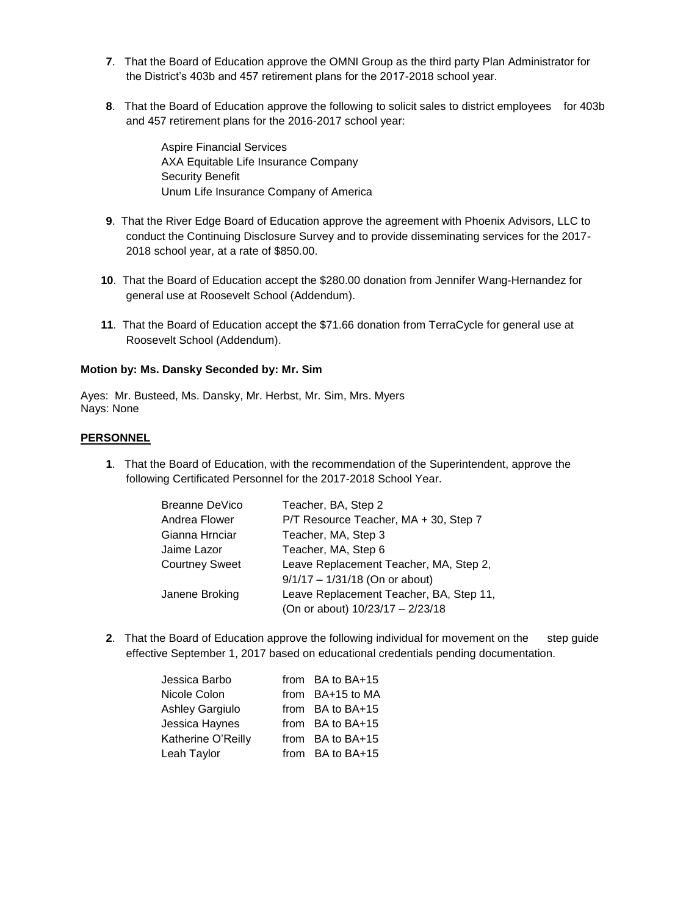- **7**. That the Board of Education approve the OMNI Group as the third party Plan Administrator for the District's 403b and 457 retirement plans for the 2017-2018 school year.
- **8**. That the Board of Education approve the following to solicit sales to district employees for 403b and 457 retirement plans for the 2016-2017 school year:

Aspire Financial Services AXA Equitable Life Insurance Company Security Benefit Unum Life Insurance Company of America

- **9**. That the River Edge Board of Education approve the agreement with Phoenix Advisors, LLC to conduct the Continuing Disclosure Survey and to provide disseminating services for the 2017- 2018 school year, at a rate of \$850.00.
- **10**. That the Board of Education accept the \$280.00 donation from Jennifer Wang-Hernandez for general use at Roosevelt School (Addendum).
- **11**. That the Board of Education accept the \$71.66 donation from TerraCycle for general use at Roosevelt School (Addendum).

## **Motion by: Ms. Dansky Seconded by: Mr. Sim**

Ayes: Mr. Busteed, Ms. Dansky, Mr. Herbst, Mr. Sim, Mrs. Myers Nays: None

## **PERSONNEL**

**1**. That the Board of Education, with the recommendation of the Superintendent, approve the following Certificated Personnel for the 2017-2018 School Year.

| Breanne DeVico        | Teacher, BA, Step 2                     |
|-----------------------|-----------------------------------------|
| Andrea Flower         | P/T Resource Teacher, MA + 30, Step 7   |
| Gianna Hrnciar        | Teacher, MA, Step 3                     |
| Jaime Lazor           | Teacher, MA, Step 6                     |
| <b>Courtney Sweet</b> | Leave Replacement Teacher, MA, Step 2,  |
|                       | $9/1/17 - 1/31/18$ (On or about)        |
| Janene Broking        | Leave Replacement Teacher, BA, Step 11, |
|                       | (On or about) 10/23/17 - 2/23/18        |

**2**. That the Board of Education approve the following individual for movement on the step guide effective September 1, 2017 based on educational credentials pending documentation.

| Jessica Barbo      | from BA to BA+15 |
|--------------------|------------------|
| Nicole Colon       | from BA+15 to MA |
| Ashley Gargiulo    | from BA to BA+15 |
| Jessica Haynes     | from BA to BA+15 |
| Katherine O'Reilly | from BA to BA+15 |
| Leah Taylor        | from BA to BA+15 |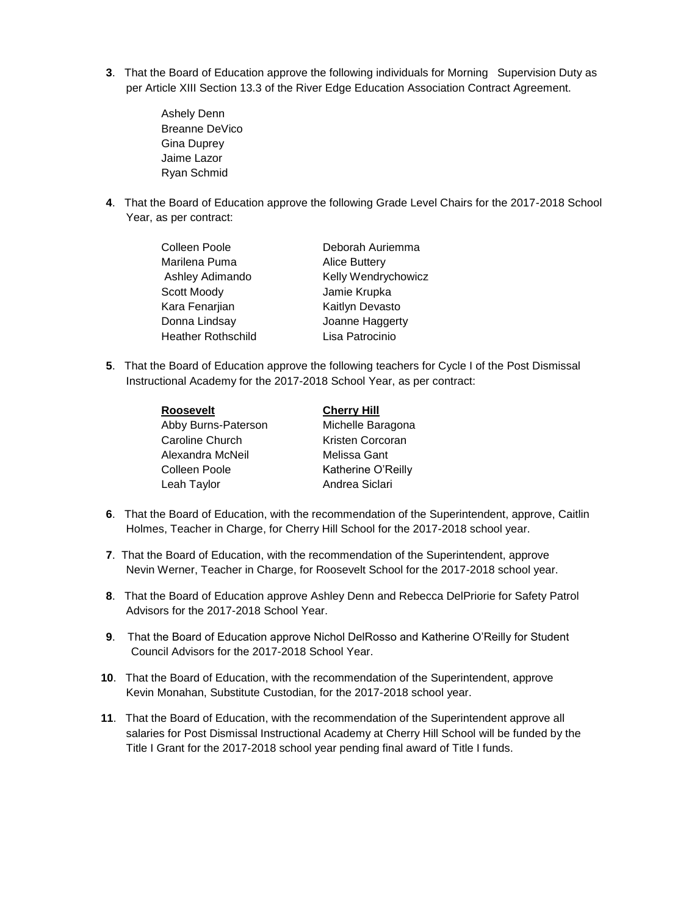- **3**. That the Board of Education approve the following individuals for Morning Supervision Duty as per Article XIII Section 13.3 of the River Edge Education Association Contract Agreement.
	- Ashely Denn Breanne DeVico Gina Duprey Jaime Lazor Ryan Schmid
- **4**. That the Board of Education approve the following Grade Level Chairs for the 2017-2018 School Year, as per contract:

| Colleen Poole             | Deborah Auriemma     |
|---------------------------|----------------------|
| Marilena Puma             | <b>Alice Buttery</b> |
| Ashley Adimando           | Kelly Wendrychowicz  |
| Scott Moody               | Jamie Krupka         |
| Kara Fenarjian            | Kaitlyn Devasto      |
| Donna Lindsay             | Joanne Haggerty      |
| <b>Heather Rothschild</b> | Lisa Patrocinio      |

**5**. That the Board of Education approve the following teachers for Cycle I of the Post Dismissal Instructional Academy for the 2017-2018 School Year, as per contract:

| <b>Roosevelt</b>    | <b>Cherry Hill</b> |
|---------------------|--------------------|
| Abby Burns-Paterson | Michelle Baragona  |
| Caroline Church     | Kristen Corcoran   |
| Alexandra McNeil    | Melissa Gant       |
| Colleen Poole       | Katherine O'Reilly |
| Leah Taylor         | Andrea Siclari     |

- **6**. That the Board of Education, with the recommendation of the Superintendent, approve, Caitlin Holmes, Teacher in Charge, for Cherry Hill School for the 2017-2018 school year.
- **7**. That the Board of Education, with the recommendation of the Superintendent, approve Nevin Werner, Teacher in Charge, for Roosevelt School for the 2017-2018 school year.
- **8**. That the Board of Education approve Ashley Denn and Rebecca DelPriorie for Safety Patrol Advisors for the 2017-2018 School Year.
- **9**. That the Board of Education approve Nichol DelRosso and Katherine O'Reilly for Student Council Advisors for the 2017-2018 School Year.
- **10**. That the Board of Education, with the recommendation of the Superintendent, approve Kevin Monahan, Substitute Custodian, for the 2017-2018 school year.
- **11**. That the Board of Education, with the recommendation of the Superintendent approve all salaries for Post Dismissal Instructional Academy at Cherry Hill School will be funded by the Title I Grant for the 2017-2018 school year pending final award of Title I funds.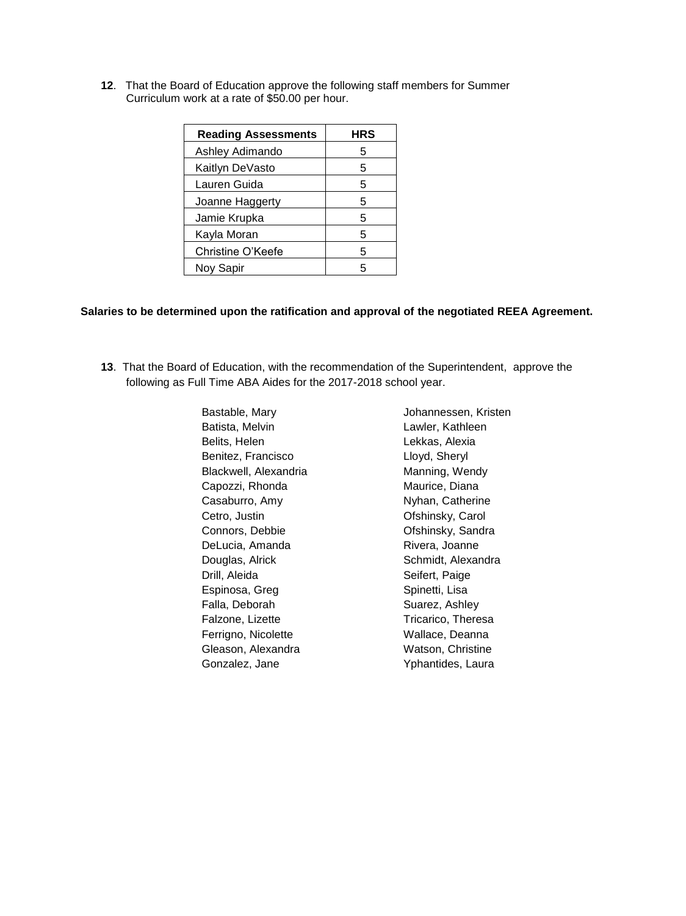**12**. That the Board of Education approve the following staff members for Summer Curriculum work at a rate of \$50.00 per hour.

| <b>Reading Assessments</b> | HRS |
|----------------------------|-----|
| Ashley Adimando            | 5   |
| Kaitlyn DeVasto            | 5   |
| Lauren Guida               | 5   |
| Joanne Haggerty            | 5   |
| Jamie Krupka               | 5   |
| Kayla Moran                | 5   |
| Christine O'Keefe          | 5   |
| Noy Sapir                  |     |

# **Salaries to be determined upon the ratification and approval of the negotiated REEA Agreement.**

**13**. That the Board of Education, with the recommendation of the Superintendent, approve the following as Full Time ABA Aides for the 2017-2018 school year.

| Bastable, Mary        | Johannessen, Kristen |
|-----------------------|----------------------|
| Batista, Melvin       | Lawler, Kathleen     |
| Belits, Helen         | Lekkas, Alexia       |
| Benitez, Francisco    | Lloyd, Sheryl        |
| Blackwell, Alexandria | Manning, Wendy       |
| Capozzi, Rhonda       | Maurice, Diana       |
| Casaburro, Amy        | Nyhan, Catherine     |
| Cetro, Justin         | Ofshinsky, Carol     |
| Connors, Debbie       | Ofshinsky, Sandra    |
| DeLucia, Amanda       | Rivera, Joanne       |
| Douglas, Alrick       | Schmidt, Alexandra   |
| Drill, Aleida         | Seifert, Paige       |
| Espinosa, Greg        | Spinetti, Lisa       |
| Falla, Deborah        | Suarez, Ashley       |
| Falzone, Lizette      | Tricarico, Theresa   |
| Ferrigno, Nicolette   | Wallace, Deanna      |
| Gleason, Alexandra    | Watson, Christine    |
| Gonzalez, Jane        | Yphantides, Laura    |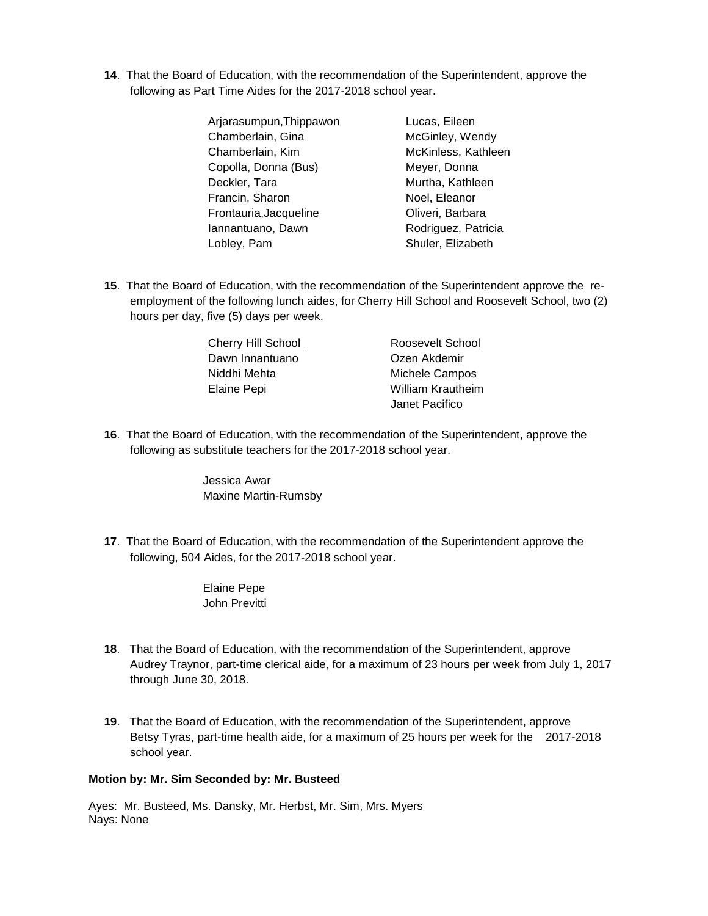**14**. That the Board of Education, with the recommendation of the Superintendent, approve the following as Part Time Aides for the 2017-2018 school year.

| Arjarasumpun, Thippawon | Lucas, Eileen       |
|-------------------------|---------------------|
| Chamberlain, Gina       | McGinley, Wendy     |
| Chamberlain, Kim        | McKinless, Kathleen |
| Copolla, Donna (Bus)    | Meyer, Donna        |
| Deckler, Tara           | Murtha, Kathleen    |
| Francin, Sharon         | Noel, Eleanor       |
| Frontauria, Jacqueline  | Oliveri, Barbara    |
| Iannantuano, Dawn       | Rodriguez, Patricia |
| Loblev, Pam             | Shuler, Elizabeth   |

**15**. That the Board of Education, with the recommendation of the Superintendent approve the reemployment of the following lunch aides, for Cherry Hill School and Roosevelt School, two (2) hours per day, five (5) days per week.

| Cherry Hill School | Roosevelt School         |
|--------------------|--------------------------|
| Dawn Innantuano    | Ozen Akdemir             |
| Niddhi Mehta       | Michele Campos           |
| Elaine Pepi        | <b>William Krautheim</b> |
|                    | Janet Pacifico           |

**16**. That the Board of Education, with the recommendation of the Superintendent, approve the following as substitute teachers for the 2017-2018 school year.

> Jessica Awar Maxine Martin-Rumsby

**17**. That the Board of Education, with the recommendation of the Superintendent approve the following, 504 Aides, for the 2017-2018 school year.

> Elaine Pepe John Previtti

- **18**. That the Board of Education, with the recommendation of the Superintendent, approve Audrey Traynor, part-time clerical aide, for a maximum of 23 hours per week from July 1, 2017 through June 30, 2018.
- **19**. That the Board of Education, with the recommendation of the Superintendent, approve Betsy Tyras, part-time health aide, for a maximum of 25 hours per week for the 2017-2018 school year.

#### **Motion by: Mr. Sim Seconded by: Mr. Busteed**

Ayes: Mr. Busteed, Ms. Dansky, Mr. Herbst, Mr. Sim, Mrs. Myers Nays: None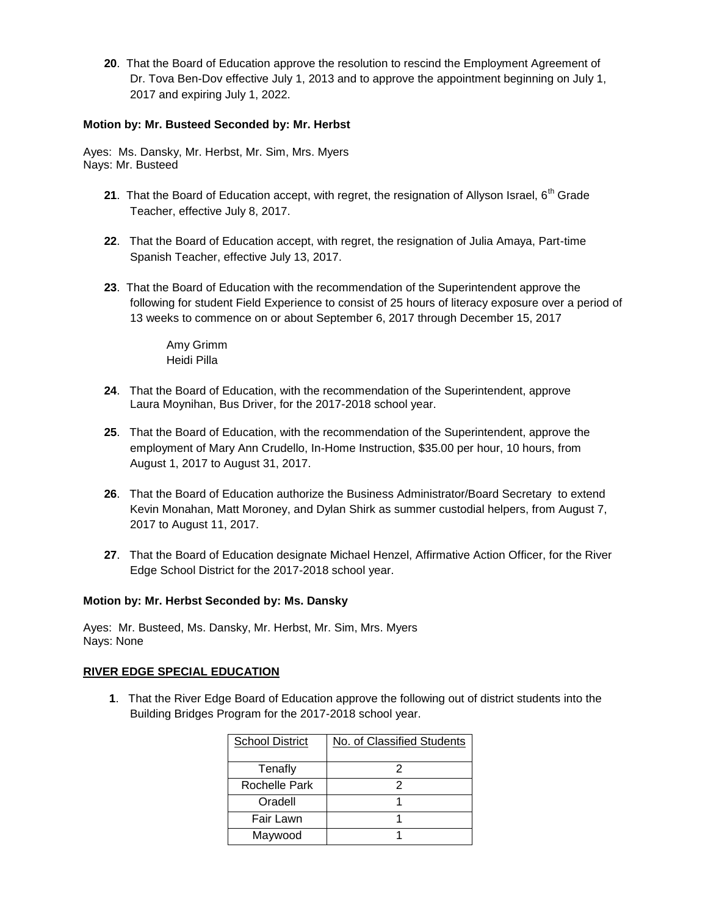**20**. That the Board of Education approve the resolution to rescind the Employment Agreement of Dr. Tova Ben-Dov effective July 1, 2013 and to approve the appointment beginning on July 1, 2017 and expiring July 1, 2022.

## **Motion by: Mr. Busteed Seconded by: Mr. Herbst**

Ayes: Ms. Dansky, Mr. Herbst, Mr. Sim, Mrs. Myers Nays: Mr. Busteed

- 21. That the Board of Education accept, with regret, the resignation of Allyson Israel, 6<sup>th</sup> Grade Teacher, effective July 8, 2017.
- **22**. That the Board of Education accept, with regret, the resignation of Julia Amaya, Part-time Spanish Teacher, effective July 13, 2017.
- **23**. That the Board of Education with the recommendation of the Superintendent approve the following for student Field Experience to consist of 25 hours of literacy exposure over a period of 13 weeks to commence on or about September 6, 2017 through December 15, 2017

Amy Grimm Heidi Pilla

- **24**. That the Board of Education, with the recommendation of the Superintendent, approve Laura Moynihan, Bus Driver, for the 2017-2018 school year.
- **25**. That the Board of Education, with the recommendation of the Superintendent, approve the employment of Mary Ann Crudello, In-Home Instruction, \$35.00 per hour, 10 hours, from August 1, 2017 to August 31, 2017.
- **26**. That the Board of Education authorize the Business Administrator/Board Secretary to extend Kevin Monahan, Matt Moroney, and Dylan Shirk as summer custodial helpers, from August 7, 2017 to August 11, 2017.
- **27**. That the Board of Education designate Michael Henzel, Affirmative Action Officer, for the River Edge School District for the 2017-2018 school year.

#### **Motion by: Mr. Herbst Seconded by: Ms. Dansky**

Ayes: Mr. Busteed, Ms. Dansky, Mr. Herbst, Mr. Sim, Mrs. Myers Nays: None

#### **RIVER EDGE SPECIAL EDUCATION**

 **1**. That the River Edge Board of Education approve the following out of district students into the Building Bridges Program for the 2017-2018 school year.

| <b>School District</b> | No. of Classified Students |
|------------------------|----------------------------|
| Tenafly                |                            |
| Rochelle Park          |                            |
| Oradell                |                            |
| Fair Lawn              |                            |
| Maywood                |                            |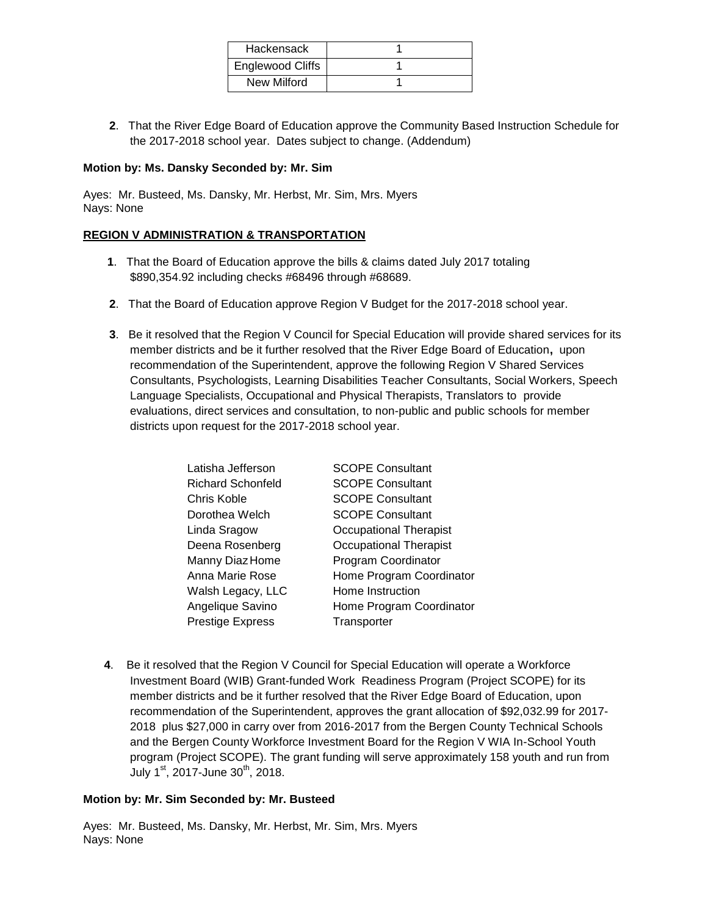| Hackensack       |  |
|------------------|--|
| Englewood Cliffs |  |
| New Milford      |  |

**2**. That the River Edge Board of Education approve the Community Based Instruction Schedule for the 2017-2018 school year. Dates subject to change. (Addendum)

## **Motion by: Ms. Dansky Seconded by: Mr. Sim**

Ayes: Mr. Busteed, Ms. Dansky, Mr. Herbst, Mr. Sim, Mrs. Myers Nays: None

## **REGION V ADMINISTRATION & TRANSPORTATION**

- **1**. That the Board of Education approve the bills & claims dated July 2017 totaling \$890,354.92 including checks #68496 through #68689.
- **2**. That the Board of Education approve Region V Budget for the 2017-2018 school year.
- **3**. Be it resolved that the Region V Council for Special Education will provide shared services for its member districts and be it further resolved that the River Edge Board of Education**,** upon recommendation of the Superintendent, approve the following Region V Shared Services Consultants, Psychologists, Learning Disabilities Teacher Consultants, Social Workers, Speech Language Specialists, Occupational and Physical Therapists, Translators to provide evaluations, direct services and consultation, to non-public and public schools for member districts upon request for the 2017-2018 school year.

| Latisha Jefferson        | <b>SCOPE Consultant</b>       |
|--------------------------|-------------------------------|
| <b>Richard Schonfeld</b> | <b>SCOPE Consultant</b>       |
| Chris Koble              | <b>SCOPE Consultant</b>       |
| Dorothea Welch           | <b>SCOPE Consultant</b>       |
| Linda Sragow             | Occupational Therapist        |
| Deena Rosenberg          | <b>Occupational Therapist</b> |
| Manny Diaz Home          | Program Coordinator           |
| Anna Marie Rose          | Home Program Coordinator      |
| Walsh Legacy, LLC        | Home Instruction              |
| Angelique Savino         | Home Program Coordinator      |
| <b>Prestige Express</b>  | Transporter                   |

**4**. Be it resolved that the Region V Council for Special Education will operate a Workforce Investment Board (WIB) Grant-funded Work Readiness Program (Project SCOPE) for its member districts and be it further resolved that the River Edge Board of Education, upon recommendation of the Superintendent, approves the grant allocation of \$92,032.99 for 2017- 2018 plus \$27,000 in carry over from 2016-2017 from the Bergen County Technical Schools and the Bergen County Workforce Investment Board for the Region V WIA In-School Youth program (Project SCOPE). The grant funding will serve approximately 158 youth and run from July  $1^{\text{st}}$ , 2017-June 30<sup>th</sup>, 2018.

#### **Motion by: Mr. Sim Seconded by: Mr. Busteed**

Ayes: Mr. Busteed, Ms. Dansky, Mr. Herbst, Mr. Sim, Mrs. Myers Nays: None